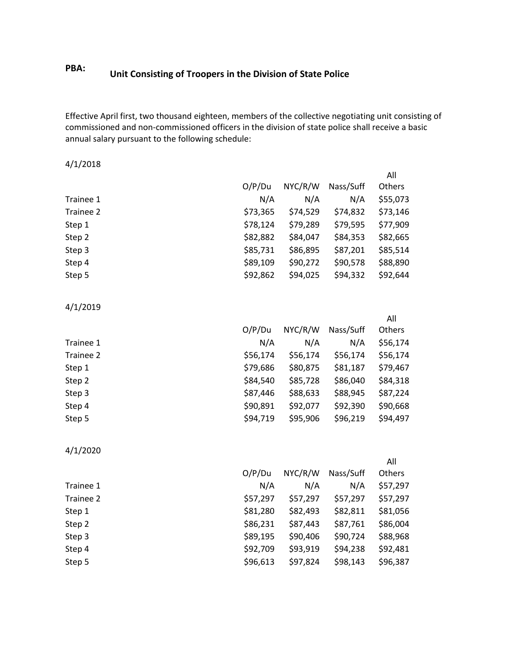## **PBA: Unit Consisting of Troopers in the Division of State Police**

Effective April first, two thousand eighteen, members of the collective negotiating unit consisting of commissioned and non-commissioned officers in the division of state police shall receive a basic annual salary pursuant to the following schedule:

4/1/2018

|           |          |          |           | All           |
|-----------|----------|----------|-----------|---------------|
|           | O/P/Du   | NYC/R/W  | Nass/Suff | <b>Others</b> |
| Trainee 1 | N/A      | N/A      | N/A       | \$55,073      |
| Trainee 2 | \$73,365 | \$74,529 | \$74,832  | \$73,146      |
| Step 1    | \$78,124 | \$79,289 | \$79,595  | \$77,909      |
| Step 2    | \$82,882 | \$84,047 | \$84,353  | \$82,665      |
| Step 3    | \$85,731 | \$86,895 | \$87,201  | \$85,514      |
| Step 4    | \$89,109 | \$90,272 | \$90,578  | \$88,890      |
| Step 5    | \$92,862 | \$94,025 | \$94,332  | \$92,644      |

4/1/2019

|           |          |          |           | All      |
|-----------|----------|----------|-----------|----------|
|           | O/P/Du   | NYC/R/W  | Nass/Suff | Others   |
| Trainee 1 | N/A      | N/A      | N/A       | \$56,174 |
| Trainee 2 | \$56,174 | \$56,174 | \$56,174  | \$56,174 |
| Step 1    | \$79,686 | \$80,875 | \$81,187  | \$79,467 |
| Step 2    | \$84,540 | \$85,728 | \$86,040  | \$84,318 |
| Step 3    | \$87,446 | \$88,633 | \$88,945  | \$87,224 |
| Step 4    | \$90,891 | \$92,077 | \$92,390  | \$90,668 |
| Step 5    | \$94,719 | \$95,906 | \$96,219  | \$94,497 |

4/1/2020

|          |          |           | All      |
|----------|----------|-----------|----------|
| O/P/Du   | NYC/R/W  | Nass/Suff | Others   |
| N/A      | N/A      | N/A       | \$57,297 |
| \$57,297 | \$57,297 | \$57,297  | \$57,297 |
| \$81,280 | \$82,493 | \$82,811  | \$81,056 |
| \$86,231 | \$87,443 | \$87,761  | \$86,004 |
| \$89,195 | \$90,406 | \$90,724  | \$88,968 |
| \$92,709 | \$93,919 | \$94,238  | \$92,481 |
| \$96,613 | \$97,824 | \$98,143  | \$96,387 |
|          |          |           |          |